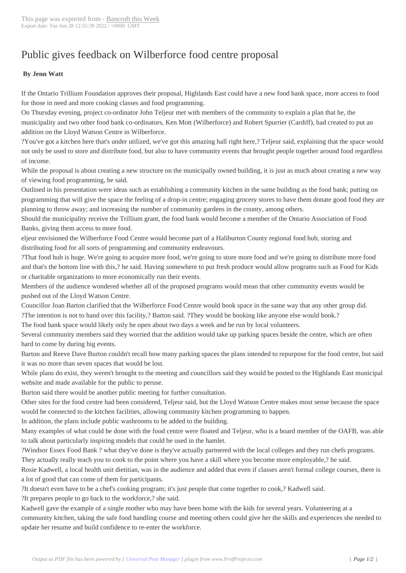## Public gives feedb[ack on Wilbe](http://www.bancroftthisweek.com/?p=3856)rforce food centre proposal

## **By Jenn Watt**

If the Ontario Trillium Foundation approves their proposal, Highlands East could have a new food bank space, more access to food for those in need and more cooking classes and food programming.

On Thursday evening, project co-ordinator John Teljeur met with members of the community to explain a plan that he, the municipality and two other food bank co-ordinators, Ken Mott (Wilberforce) and Robert Spurrier (Cardiff), had created to put an addition on the Lloyd Watson Centre in Wilberforce.

?You've got a kitchen here that's under utilized, we've got this amazing hall right here,? Teljeur said, explaining that the space would not only be used to store and distribute food, but also to have community events that brought people together around food regardless of income.

While the proposal is about creating a new structure on the municipally owned building, it is just as much about creating a new way of viewing food programming, he said.

Outlined in his presentation were ideas such as establishing a community kitchen in the same building as the food bank; putting on programming that will give the space the feeling of a drop-in centre; engaging grocery stores to have them donate good food they are planning to throw away; and increasing the number of community gardens in the county, among others.

Should the municipality receive the Trillium grant, the food bank would become a member of the Ontario Association of Food Banks, giving them access to more food.

eljeur envisioned the Wilberforce Food Centre would become part of a Haliburton County regional food hub, storing and distributing food for all sorts of programming and community endeavours.

?That food hub is huge. We're going to acquire more food, we're going to store more food and we're going to distribute more food and that's the bottom line with this,? he said. Having somewhere to put fresh produce would allow programs such as Food for Kids or charitable organizations to more economically run their events.

Members of the audience wondered whether all of the proposed programs would mean that other community events would be pushed out of the Lloyd Watson Centre.

Councillor Joan Barton clarified that the Wilberforce Food Centre would book space in the same way that any other group did.

?The intention is not to hand over this facility,? Barton said. ?They would be booking like anyone else would book.?

The food bank space would likely only be open about two days a week and be run by local volunteers.

Several community members said they worried that the addition would take up parking spaces beside the centre, which are often hard to come by during big events.

Barton and Reeve Dave Burton couldn't recall how many parking spaces the plans intended to repurpose for the food centre, but said it was no more than seven spaces that would be lost.

While plans do exist, they weren't brought to the meeting and councillors said they would be posted to the Highlands East municipal website and made available for the public to peruse.

Burton said there would be another public meeting for further consultation.

Other sites for the food centre had been considered, Teljeur said, but the Lloyd Watson Centre makes most sense because the space would be connected to the kitchen facilities, allowing community kitchen programming to happen.

In addition, the plans include public washrooms to be added to the building.

Many examples of what could be done with the food centre were floated and Teljeur, who is a board member of the OAFB, was able to talk about particularly inspiring models that could be used in the hamlet.

?Windsor Essex Food Bank ? what they've done is they've actually partnered with the local colleges and they run chefs programs. They actually really teach you to cook to the point where you have a skill where you become more employable,? he said.

Rosie Kadwell, a local health unit dietitian, was in the audience and added that even if classes aren't formal college courses, there is a lot of good that can come of them for participants.

?It doesn't even have to be a chef's cooking program; it's just people that come together to cook,? Kadwell said.

?It prepares people to go back to the workforce,? she said.

Kadwell gave the example of a single mother who may have been home with the kids for several years. Volunteering at a community kitchen, taking the safe food handling course and meeting others could give her the skills and experiences she needed to update her resume and build confidence to re-enter the workforce.